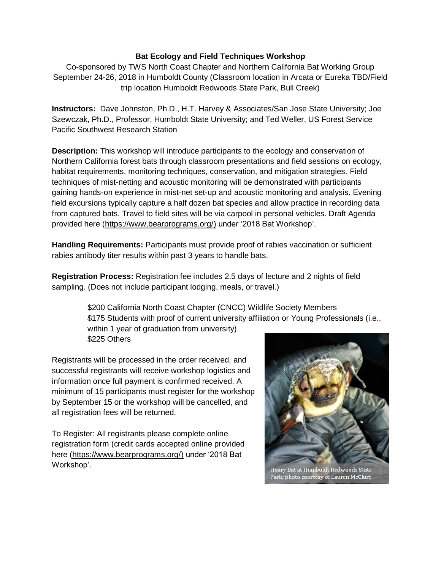## **Bat Ecology and Field Techniques Workshop**

Co-sponsored by TWS North Coast Chapter and Northern California Bat Working Group September 24-26, 2018 in Humboldt County (Classroom location in Arcata or Eureka TBD/Field trip location Humboldt Redwoods State Park, Bull Creek)

**Instructors:** Dave Johnston, Ph.D., H.T. Harvey & Associates/San Jose State University; Joe Szewczak, Ph.D., Professor, Humboldt State University; and Ted Weller, US Forest Service Pacific Southwest Research Station

**Description:** This workshop will introduce participants to the ecology and conservation of Northern California forest bats through classroom presentations and field sessions on ecology, habitat requirements, monitoring techniques, conservation, and mitigation strategies. Field techniques of mist-netting and acoustic monitoring will be demonstrated with participants gaining hands-on experience in mist-net set-up and acoustic monitoring and analysis. Evening field excursions typically capture a half dozen bat species and allow practice in recording data from captured bats. Travel to field sites will be via carpool in personal vehicles. Draft Agenda provided here [\(https://www.bearprograms.org/\)](https://www.bearprograms.org/) under '2018 Bat Workshop'.

**Handling Requirements:** Participants must provide proof of rabies vaccination or sufficient rabies antibody titer results within past 3 years to handle bats.

**Registration Process:** Registration fee includes 2.5 days of lecture and 2 nights of field sampling. (Does not include participant lodging, meals, or travel.)

> \$200 California North Coast Chapter (CNCC) Wildlife Society Members \$175 Students with proof of current university affiliation or Young Professionals (i.e., within 1 year of graduation from university) \$225 Others

Registrants will be processed in the order received, and successful registrants will receive workshop logistics and information once full payment is confirmed received. A minimum of 15 participants must register for the workshop by September 15 or the workshop will be cancelled, and all registration fees will be returned.

To Register: All registrants please complete online registration form (credit cards accepted online provided here [\(https://www.bearprograms.org/\)](https://www.bearprograms.org/) under '2018 Bat Workshop'.



Hoary Bat at Humboldt Redwoods State Park; photo courtesy of Lauren McClure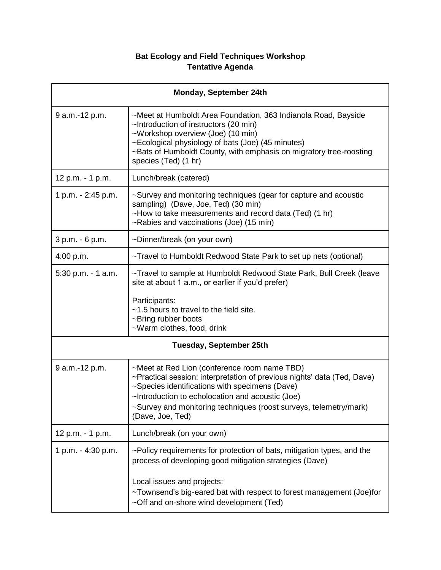## **Bat Ecology and Field Techniques Workshop Tentative Agenda**

| Monday, September 24th         |                                                                                                                                                                                                                                                                                                                        |  |
|--------------------------------|------------------------------------------------------------------------------------------------------------------------------------------------------------------------------------------------------------------------------------------------------------------------------------------------------------------------|--|
| 9 a.m.-12 p.m.                 | ~Meet at Humboldt Area Foundation, 363 Indianola Road, Bayside<br>~Introduction of instructors (20 min)<br>~Workshop overview (Joe) (10 min)<br>~Ecological physiology of bats (Joe) (45 minutes)<br>~Bats of Humboldt County, with emphasis on migratory tree-roosting<br>species (Ted) (1 hr)                        |  |
| 12 p.m. - 1 p.m.               | Lunch/break (catered)                                                                                                                                                                                                                                                                                                  |  |
| 1 p.m. - 2:45 p.m.             | ~Survey and monitoring techniques (gear for capture and acoustic<br>sampling) (Dave, Joe, Ted) (30 min)<br>~How to take measurements and record data (Ted) (1 hr)<br>~Rabies and vaccinations (Joe) (15 min)                                                                                                           |  |
| 3 p.m. - 6 p.m.                | ~Dinner/break (on your own)                                                                                                                                                                                                                                                                                            |  |
| 4:00 p.m.                      | ~Travel to Humboldt Redwood State Park to set up nets (optional)                                                                                                                                                                                                                                                       |  |
| 5:30 p.m. - 1 a.m.             | ~Travel to sample at Humboldt Redwood State Park, Bull Creek (leave<br>site at about 1 a.m., or earlier if you'd prefer)<br>Participants:<br>~1.5 hours to travel to the field site.<br>~Bring rubber boots<br>~Warm clothes, food, drink                                                                              |  |
| <b>Tuesday, September 25th</b> |                                                                                                                                                                                                                                                                                                                        |  |
| 9 a.m.-12 p.m.                 | ~Meet at Red Lion (conference room name TBD)<br>~Practical session: interpretation of previous nights' data (Ted, Dave)<br>~Species identifications with specimens (Dave)<br>~Introduction to echolocation and acoustic (Joe)<br>~Survey and monitoring techniques (roost surveys, telemetry/mark)<br>(Dave, Joe, Ted) |  |
| 12 p.m. - 1 p.m.               | Lunch/break (on your own)                                                                                                                                                                                                                                                                                              |  |
| 1 p.m. - 4:30 p.m.             | ~Policy requirements for protection of bats, mitigation types, and the<br>process of developing good mitigation strategies (Dave)<br>Local issues and projects:<br>~Townsend's big-eared bat with respect to forest management (Joe)for<br>~Off and on-shore wind development (Ted)                                    |  |